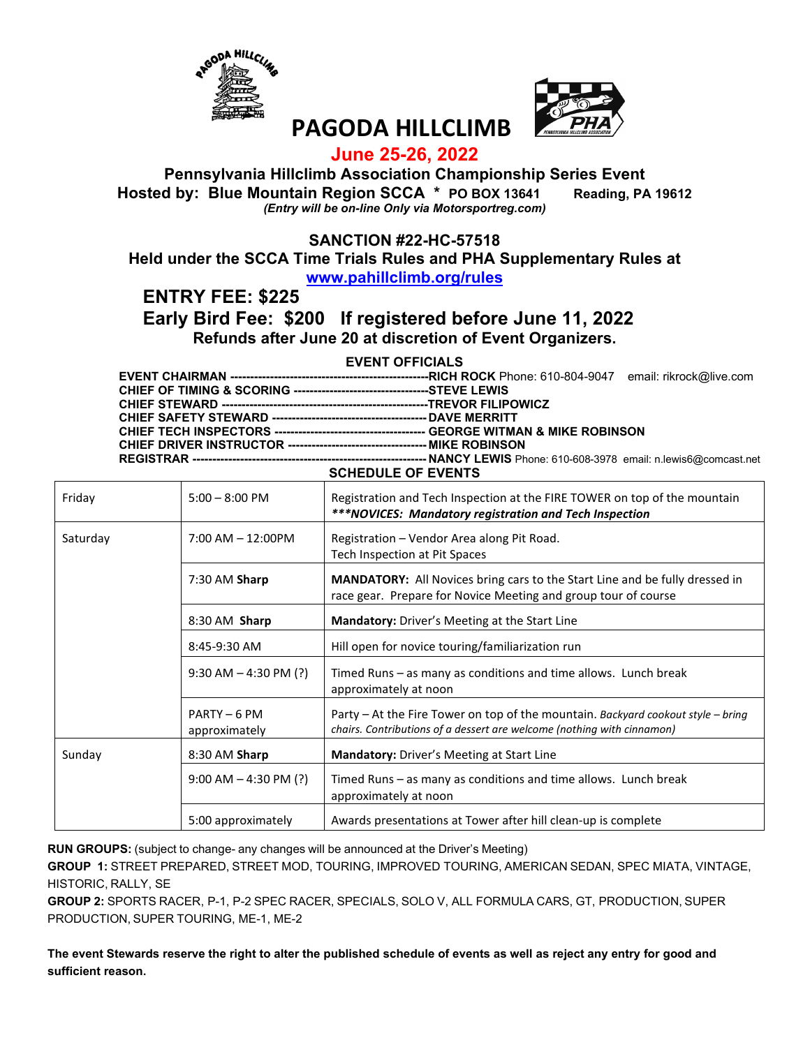



# **PAGODA HILLCLIMB**

#### **June 25-26, 2022**

#### **Pennsylvania Hillclimb Association Championship Series Event Hosted by: Blue Mountain Region SCCA \* PO BOX 13641 Reading, PA 19612** *(Entry will be on-line Only via Motorsportreg.com)*

#### **SANCTION #22-HC-57518**

**Held under the SCCA Time Trials Rules and PHA Supplementary Rules at** 

#### **www.pahillclimb.org/rules**

**ENTRY FEE: \$225** 

#### **Early Bird Fee: \$200 If registered before June 11, 2022 Refunds after June 20 at discretion of Event Organizers.**

#### **EVENT OFFICIALS**

| $O(150H)$ $E(150H)$ |  |
|---------------------|--|

|          |                               | SUILDULL UI LVLIVIS                                                                                                                                        |
|----------|-------------------------------|------------------------------------------------------------------------------------------------------------------------------------------------------------|
| Friday   | $5:00 - 8:00$ PM              | Registration and Tech Inspection at the FIRE TOWER on top of the mountain<br>***NOVICES: Mandatory registration and Tech Inspection                        |
| Saturday | $7:00$ AM $- 12:00$ PM        | Registration - Vendor Area along Pit Road.<br>Tech Inspection at Pit Spaces                                                                                |
|          | 7:30 AM Sharp                 | MANDATORY: All Novices bring cars to the Start Line and be fully dressed in<br>race gear. Prepare for Novice Meeting and group tour of course              |
|          | 8:30 AM Sharp                 | Mandatory: Driver's Meeting at the Start Line                                                                                                              |
|          | 8:45-9:30 AM                  | Hill open for novice touring/familiarization run                                                                                                           |
|          | $9:30$ AM $- 4:30$ PM (?)     | Timed Runs – as many as conditions and time allows. Lunch break<br>approximately at noon                                                                   |
|          | PARTY - 6 PM<br>approximately | Party – At the Fire Tower on top of the mountain. Backyard cookout style – bring<br>chairs. Contributions of a dessert are welcome (nothing with cinnamon) |
| Sunday   | 8:30 AM Sharp                 | Mandatory: Driver's Meeting at Start Line                                                                                                                  |
|          | $9:00$ AM $-4:30$ PM (?)      | Timed Runs – as many as conditions and time allows. Lunch break<br>approximately at noon                                                                   |
|          | 5:00 approximately            | Awards presentations at Tower after hill clean-up is complete                                                                                              |

**RUN GROUPS:** (subject to change- any changes will be announced at the Driver's Meeting)

**GROUP 1:** STREET PREPARED, STREET MOD, TOURING, IMPROVED TOURING, AMERICAN SEDAN, SPEC MIATA, VINTAGE, HISTORIC, RALLY, SE

**GROUP 2:** SPORTS RACER, P-1, P-2 SPEC RACER, SPECIALS, SOLO V, ALL FORMULA CARS, GT, PRODUCTION, SUPER PRODUCTION, SUPER TOURING, ME-1, ME-2

**The event Stewards reserve the right to alter the published schedule of events as well as reject any entry for good and sufficient reason.**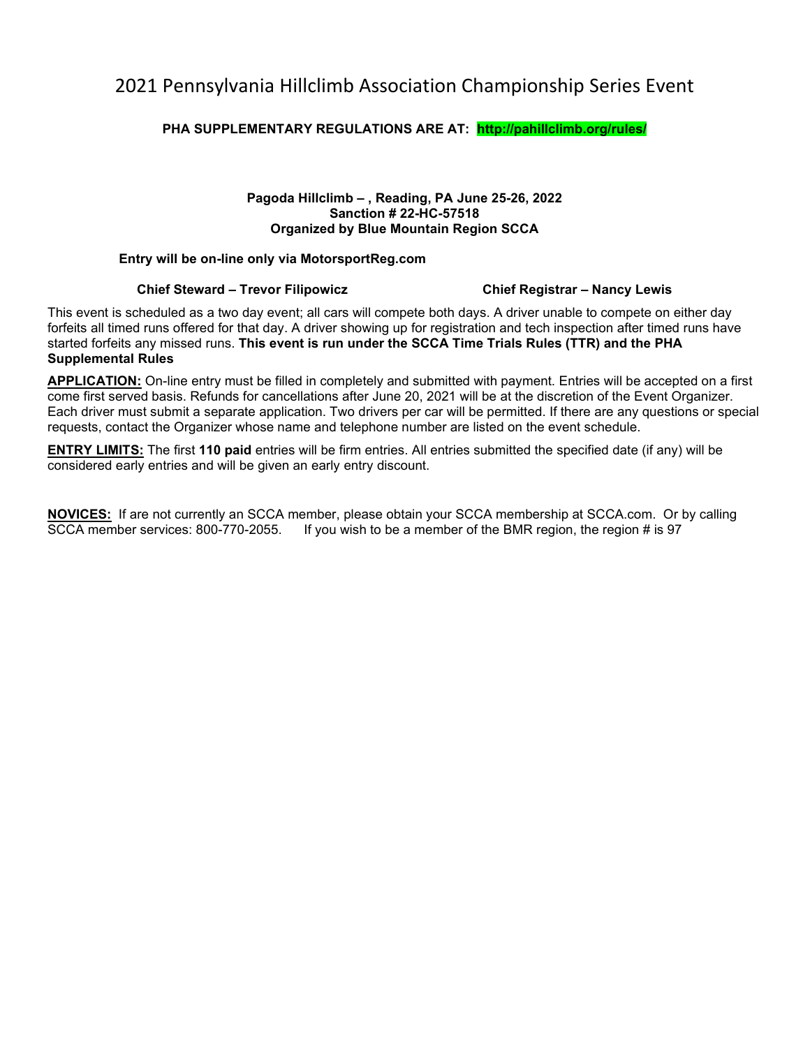## 2021 Pennsylvania Hillclimb Association Championship Series Event

#### **PHA SUPPLEMENTARY REGULATIONS ARE AT: http://pahillclimb.org/rules/**

#### **Pagoda Hillclimb – , Reading, PA June 25-26, 2022 Sanction # 22-HC-57518 Organized by Blue Mountain Region SCCA**

#### **Entry will be on-line only via MotorsportReg.com**

#### **Chief Steward – Trevor Filipowicz Chief Registrar – Nancy Lewis**

This event is scheduled as a two day event; all cars will compete both days. A driver unable to compete on either day forfeits all timed runs offered for that day. A driver showing up for registration and tech inspection after timed runs have started forfeits any missed runs. **This event is run under the SCCA Time Trials Rules (TTR) and the PHA Supplemental Rules**

**APPLICATION:** On-line entry must be filled in completely and submitted with payment. Entries will be accepted on a first come first served basis. Refunds for cancellations after June 20, 2021 will be at the discretion of the Event Organizer. Each driver must submit a separate application. Two drivers per car will be permitted. If there are any questions or special requests, contact the Organizer whose name and telephone number are listed on the event schedule.

**ENTRY LIMITS:** The first **110 paid** entries will be firm entries. All entries submitted the specified date (if any) will be considered early entries and will be given an early entry discount.

**NOVICES:** If are not currently an SCCA member, please obtain your SCCA membership at SCCA.com. Or by calling SCCA member services: 800-770-2055. If you wish to be a member of the BMR region, the region # is 97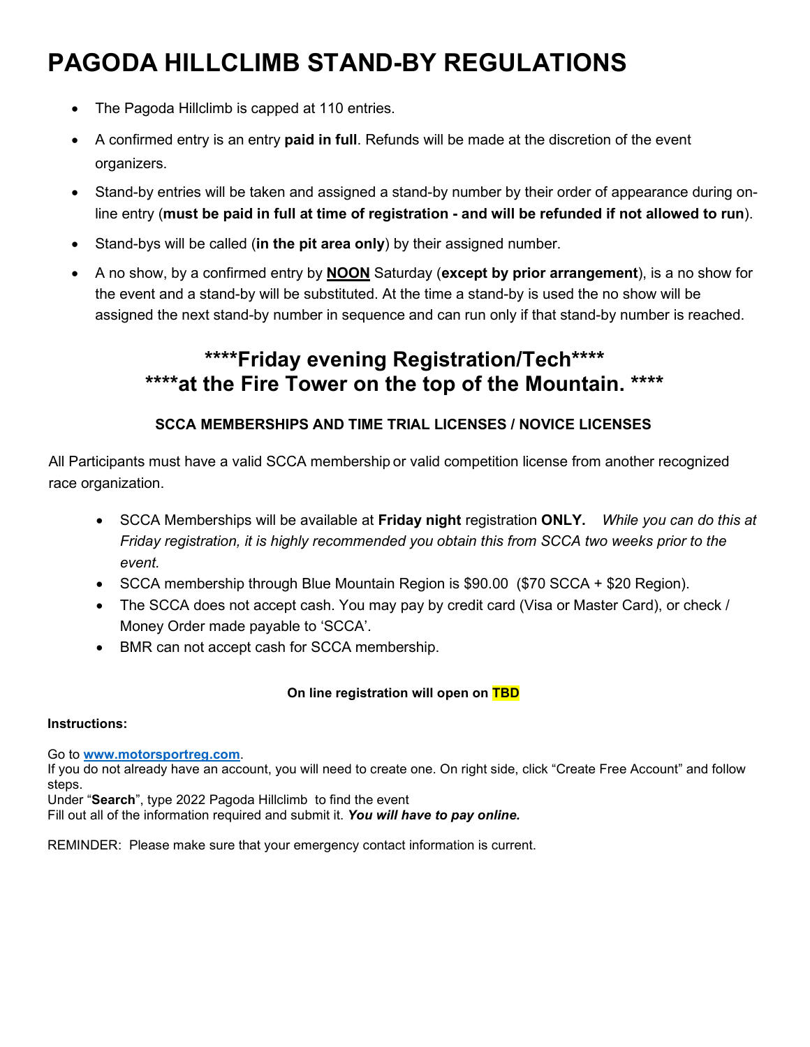# **PAGODA HILLCLIMB STAND-BY REGULATIONS**

- The Pagoda Hillclimb is capped at 110 entries.
- A confirmed entry is an entry **paid in full**. Refunds will be made at the discretion of the event organizers.
- Stand-by entries will be taken and assigned a stand-by number by their order of appearance during online entry (**must be paid in full at time of registration - and will be refunded if not allowed to run**).
- Stand-bys will be called (**in the pit area only**) by their assigned number.
- A no show, by a confirmed entry by **NOON** Saturday (**except by prior arrangement**), is a no show for the event and a stand-by will be substituted. At the time a stand-by is used the no show will be assigned the next stand-by number in sequence and can run only if that stand-by number is reached.

# **\*\*\*\*Friday evening Registration/Tech\*\*\*\* \*\*\*\*at the Fire Tower on the top of the Mountain. \*\*\*\***

### **SCCA MEMBERSHIPS AND TIME TRIAL LICENSES / NOVICE LICENSES**

All Participants must have a valid SCCA membership or valid competition license from another recognized race organization.

- SCCA Memberships will be available at **Friday night** registration **ONLY.** *While you can do this at Friday registration, it is highly recommended you obtain this from SCCA two weeks prior to the event.*
- SCCA membership through Blue Mountain Region is \$90.00 (\$70 SCCA + \$20 Region).
- The SCCA does not accept cash. You may pay by credit card (Visa or Master Card), or check / Money Order made payable to 'SCCA'.
- BMR can not accept cash for SCCA membership.

#### **On line registration will open on TBD**

#### **Instructions:**

Go to **www.motorsportreg.com**.

If you do not already have an account, you will need to create one. On right side, click "Create Free Account" and follow steps.

Under "**Search**", type 2022 Pagoda Hillclimb to find the event Fill out all of the information required and submit it. *You will have to pay online.*

REMINDER: Please make sure that your emergency contact information is current.